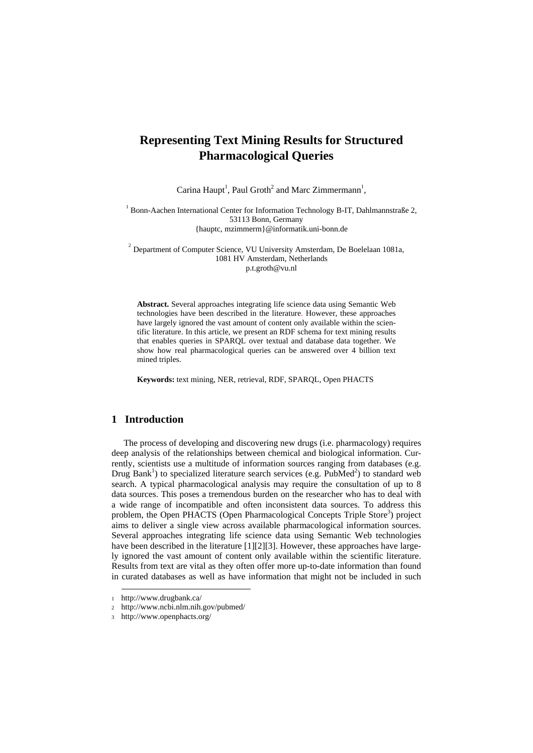# **Representing Text Mining Results for Structured Pharmacological Queries**

Carina Haupt<sup>1</sup>, Paul Groth<sup>2</sup> and Marc Zimmermann<sup>1</sup>,

<sup>1</sup> Bonn-Aachen International Center for Information Technology B-IT, Dahlmannstraße 2, 53113 Bonn, Germany {hauptc, mzimmerm}@informatik.uni-bonn.de

<sup>2</sup> Department of Computer Science, VU University Amsterdam, De Boelelaan 1081a, 1081 HV Amsterdam, Netherlands p.t.groth@vu.nl

**Abstract.** Several approaches integrating life science data using Semantic Web technologies have been described in the literature. However, these approaches have largely ignored the vast amount of content only available within the scientific literature. In this article, we present an RDF schema for text mining results that enables queries in SPARQL over textual and database data together. We show how real pharmacological queries can be answered over 4 billion text mined triples.

**Keywords:** text mining, NER, retrieval, RDF, SPARQL, Open PHACTS

## **1 Introduction**

The process of developing and discovering new drugs (i.e. pharmacology) requires deep analysis of the relationships between chemical and biological information. Currently, scientists use a multitude of information sources ranging from databases (e.g. Drug Bank<sup>1</sup>) to specialized literature search services (e.g.  $PubMed<sup>2</sup>$ ) to standard web search. A typical pharmacological analysis may require the consultation of up to 8 data sources. This poses a tremendous burden on the researcher who has to deal with a wide range of incompatible and often inconsistent data sources. To address this problem, the Open PHACTS (Open Pharmacological Concepts Triple Store<sup>3</sup>) project aims to deliver a single view across available pharmacological information sources. Several approaches integrating life science data using Semantic Web technologies have been described in the literature [1][2][3]. However, these approaches have largely ignored the vast amount of content only available within the scientific literature. Results from text are vital as they often offer more up-to-date information than found in curated databases as well as have information that might not be included in such

1

<sup>1</sup> http://www.drugbank.ca/

<sup>2</sup> http://www.ncbi.nlm.nih.gov/pubmed/

<sup>3</sup> http://www.openphacts.org/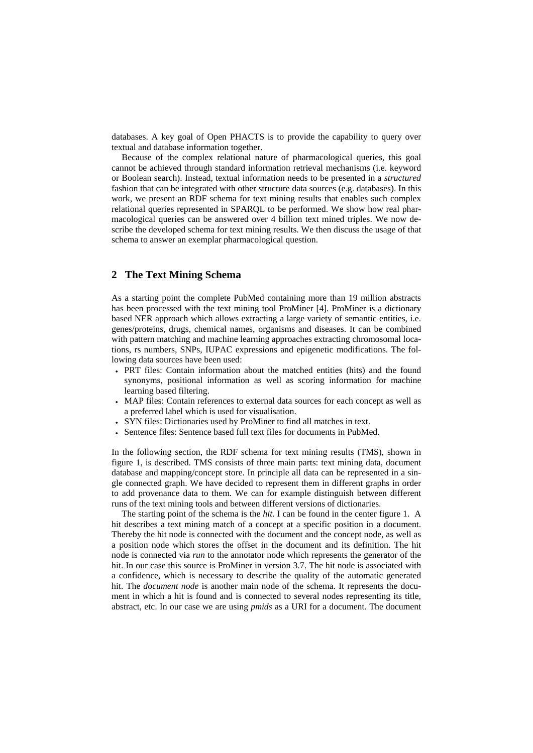databases. A key goal of Open PHACTS is to provide the capability to query over textual and database information together.

Because of the complex relational nature of pharmacological queries, this goal cannot be achieved through standard information retrieval mechanisms (i.e. keyword or Boolean search). Instead, textual information needs to be presented in a *structured*  fashion that can be integrated with other structure data sources (e.g. databases). In this work, we present an RDF schema for text mining results that enables such complex relational queries represented in SPARQL to be performed. We show how real pharmacological queries can be answered over 4 billion text mined triples. We now describe the developed schema for text mining results. We then discuss the usage of that schema to answer an exemplar pharmacological question.

### **2 The Text Mining Schema**

As a starting point the complete PubMed containing more than 19 million abstracts has been processed with the text mining tool ProMiner [4]. ProMiner is a dictionary based NER approach which allows extracting a large variety of semantic entities, i.e. genes/proteins, drugs, chemical names, organisms and diseases. It can be combined with pattern matching and machine learning approaches extracting chromosomal locations, rs numbers, SNPs, IUPAC expressions and epigenetic modifications. The following data sources have been used:

- PRT files: Contain information about the matched entities (hits) and the found synonyms, positional information as well as scoring information for machine learning based filtering.
- MAP files: Contain references to external data sources for each concept as well as a preferred label which is used for visualisation.
- SYN files: Dictionaries used by ProMiner to find all matches in text.
- Sentence files: Sentence based full text files for documents in PubMed.

In the following section, the RDF schema for text mining results (TMS), shown in figure 1, is described. TMS consists of three main parts: text mining data, document database and mapping/concept store. In principle all data can be represented in a single connected graph. We have decided to represent them in different graphs in order to add provenance data to them. We can for example distinguish between different runs of the text mining tools and between different versions of dictionaries.

The starting point of the schema is the *hit*. I can be found in the center figure 1. A hit describes a text mining match of a concept at a specific position in a document. Thereby the hit node is connected with the document and the concept node, as well as a position node which stores the offset in the document and its definition. The hit node is connected via *run* to the annotator node which represents the generator of the hit. In our case this source is ProMiner in version 3.7. The hit node is associated with a confidence, which is necessary to describe the quality of the automatic generated hit. The *document node* is another main node of the schema. It represents the document in which a hit is found and is connected to several nodes representing its title, abstract, etc. In our case we are using *pmids* as a URI for a document. The document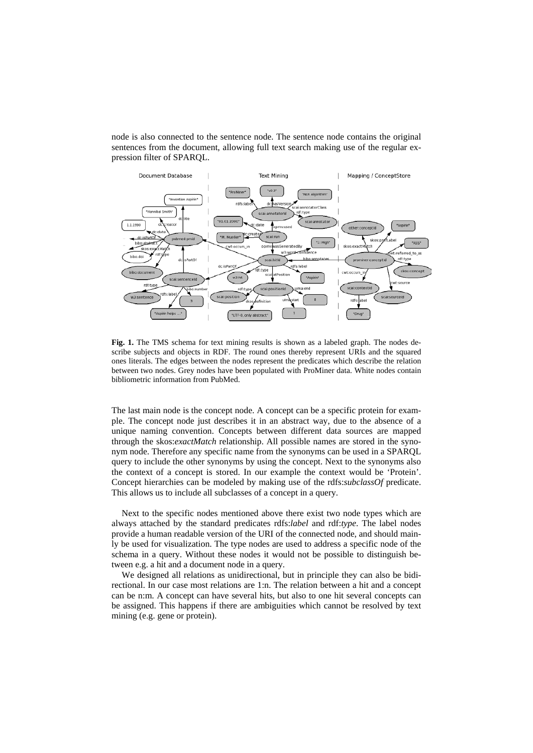node is also connected to the sentence node. The sentence node contains the original sentences from the document, allowing full text search making use of the regular expression filter of SPARQL.



**Fig. 1.** The TMS schema for text mining results is shown as a labeled graph. The nodes describe subjects and objects in RDF. The round ones thereby represent URIs and the squared ones literals. The edges between the nodes represent the predicates which describe the relation between two nodes. Grey nodes have been populated with ProMiner data. White nodes contain bibliometric information from PubMed.

The last main node is the concept node. A concept can be a specific protein for example. The concept node just describes it in an abstract way, due to the absence of a unique naming convention. Concepts between different data sources are mapped through the skos:*exactMatch* relationship. All possible names are stored in the synonym node. Therefore any specific name from the synonyms can be used in a SPARQL query to include the other synonyms by using the concept. Next to the synonyms also the context of a concept is stored. In our example the context would be 'Protein'. Concept hierarchies can be modeled by making use of the rdfs:*subclassOf* predicate. This allows us to include all subclasses of a concept in a query.

Next to the specific nodes mentioned above there exist two node types which are always attached by the standard predicates rdfs:*label* and rdf:*type*. The label nodes provide a human readable version of the URI of the connected node, and should mainly be used for visualization. The type nodes are used to address a specific node of the schema in a query. Without these nodes it would not be possible to distinguish between e.g. a hit and a document node in a query.

We designed all relations as unidirectional, but in principle they can also be bidirectional. In our case most relations are 1:n. The relation between a hit and a concept can be n:m. A concept can have several hits, but also to one hit several concepts can be assigned. This happens if there are ambiguities which cannot be resolved by text mining (e.g. gene or protein).